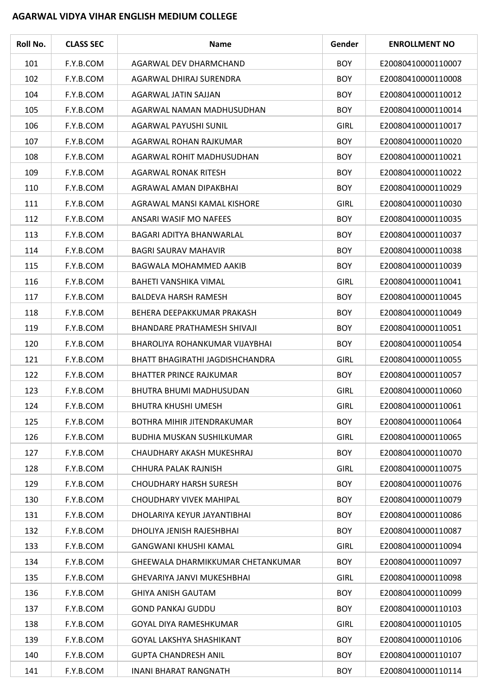## **AGARWAL VIDYA VIHAR ENGLISH MEDIUM COLLEGE**

| Roll No. | <b>CLASS SEC</b> | <b>Name</b>                       | Gender      | <b>ENROLLMENT NO</b> |
|----------|------------------|-----------------------------------|-------------|----------------------|
| 101      | F.Y.B.COM        | AGARWAL DEV DHARMCHAND            | <b>BOY</b>  | E20080410000110007   |
| 102      | F.Y.B.COM        | AGARWAL DHIRAJ SURENDRA           | <b>BOY</b>  | E20080410000110008   |
| 104      | F.Y.B.COM        | AGARWAL JATIN SAJJAN              | <b>BOY</b>  | E20080410000110012   |
| 105      | F.Y.B.COM        | AGARWAL NAMAN MADHUSUDHAN         | <b>BOY</b>  | E20080410000110014   |
| 106      | F.Y.B.COM        | AGARWAL PAYUSHI SUNIL             | <b>GIRL</b> | E20080410000110017   |
| 107      | F.Y.B.COM        | AGARWAL ROHAN RAJKUMAR            | <b>BOY</b>  | E20080410000110020   |
| 108      | F.Y.B.COM        | AGARWAL ROHIT MADHUSUDHAN         | <b>BOY</b>  | E20080410000110021   |
| 109      | F.Y.B.COM        | AGARWAL RONAK RITESH              | <b>BOY</b>  | E20080410000110022   |
| 110      | F.Y.B.COM        | AGRAWAL AMAN DIPAKBHAI            | <b>BOY</b>  | E20080410000110029   |
| 111      | F.Y.B.COM        | AGRAWAL MANSI KAMAL KISHORE       | <b>GIRL</b> | E20080410000110030   |
| 112      | F.Y.B.COM        | ANSARI WASIF MO NAFEES            | <b>BOY</b>  | E20080410000110035   |
| 113      | F.Y.B.COM        | BAGARI ADITYA BHANWARLAL          | <b>BOY</b>  | E20080410000110037   |
| 114      | F.Y.B.COM        | <b>BAGRI SAURAV MAHAVIR</b>       | <b>BOY</b>  | E20080410000110038   |
| 115      | F.Y.B.COM        | BAGWALA MOHAMMED AAKIB            | <b>BOY</b>  | E20080410000110039   |
| 116      | F.Y.B.COM        | BAHETI VANSHIKA VIMAL             | <b>GIRL</b> | E20080410000110041   |
| 117      | F.Y.B.COM        | <b>BALDEVA HARSH RAMESH</b>       | <b>BOY</b>  | E20080410000110045   |
| 118      | F.Y.B.COM        | BEHERA DEEPAKKUMAR PRAKASH        | <b>BOY</b>  | E20080410000110049   |
| 119      | F.Y.B.COM        | BHANDARE PRATHAMESH SHIVAJI       | <b>BOY</b>  | E20080410000110051   |
| 120      | F.Y.B.COM        | BHAROLIYA ROHANKUMAR VIJAYBHAI    | <b>BOY</b>  | E20080410000110054   |
| 121      | F.Y.B.COM        | BHATT BHAGIRATHI JAGDISHCHANDRA   | <b>GIRL</b> | E20080410000110055   |
| 122      | F.Y.B.COM        | <b>BHATTER PRINCE RAJKUMAR</b>    | <b>BOY</b>  | E20080410000110057   |
| 123      | F.Y.B.COM        | BHUTRA BHUMI MADHUSUDAN           | <b>GIRL</b> | E20080410000110060   |
| 124      | F.Y.B.COM        | <b>BHUTRA KHUSHI UMESH</b>        | <b>GIRL</b> | E20080410000110061   |
| 125      | F.Y.B.COM        | BOTHRA MIHIR JITENDRAKUMAR        | <b>BOY</b>  | E20080410000110064   |
| 126      | F.Y.B.COM        | <b>BUDHIA MUSKAN SUSHILKUMAR</b>  | <b>GIRL</b> | E20080410000110065   |
| 127      | F.Y.B.COM        | CHAUDHARY AKASH MUKESHRAJ         | <b>BOY</b>  | E20080410000110070   |
| 128      | F.Y.B.COM        | CHHURA PALAK RAJNISH              | <b>GIRL</b> | E20080410000110075   |
| 129      | F.Y.B.COM        | <b>CHOUDHARY HARSH SURESH</b>     | <b>BOY</b>  | E20080410000110076   |
| 130      | F.Y.B.COM        | CHOUDHARY VIVEK MAHIPAL           | <b>BOY</b>  | E20080410000110079   |
| 131      | F.Y.B.COM        | DHOLARIYA KEYUR JAYANTIBHAI       | <b>BOY</b>  | E20080410000110086   |
| 132      | F.Y.B.COM        | DHOLIYA JENISH RAJESHBHAI         | <b>BOY</b>  | E20080410000110087   |
| 133      | F.Y.B.COM        | <b>GANGWANI KHUSHI KAMAL</b>      | <b>GIRL</b> | E20080410000110094   |
| 134      | F.Y.B.COM        | GHEEWALA DHARMIKKUMAR CHETANKUMAR | <b>BOY</b>  | E20080410000110097   |
| 135      | F.Y.B.COM        | <b>GHEVARIYA JANVI MUKESHBHAI</b> | <b>GIRL</b> | E20080410000110098   |
| 136      | F.Y.B.COM        | <b>GHIYA ANISH GAUTAM</b>         | <b>BOY</b>  | E20080410000110099   |
| 137      | F.Y.B.COM        | <b>GOND PANKAJ GUDDU</b>          | <b>BOY</b>  | E20080410000110103   |
| 138      | F.Y.B.COM        | GOYAL DIYA RAMESHKUMAR            | <b>GIRL</b> | E20080410000110105   |
| 139      | F.Y.B.COM        | <b>GOYAL LAKSHYA SHASHIKANT</b>   | <b>BOY</b>  | E20080410000110106   |
| 140      | F.Y.B.COM        | <b>GUPTA CHANDRESH ANIL</b>       | <b>BOY</b>  | E20080410000110107   |
| 141      | F.Y.B.COM        | <b>INANI BHARAT RANGNATH</b>      | <b>BOY</b>  | E20080410000110114   |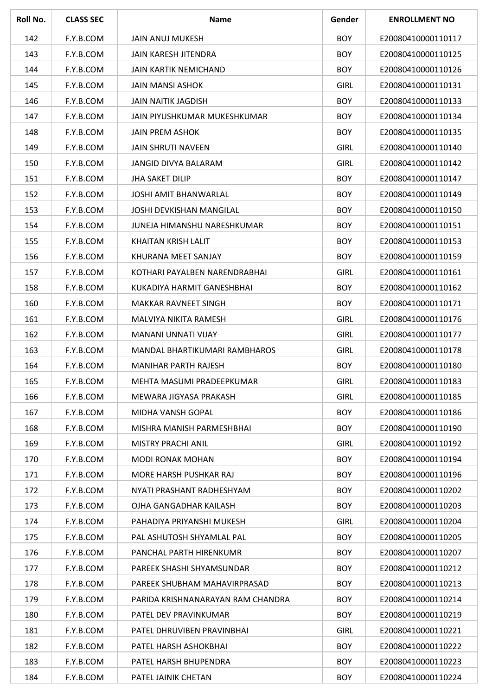| Roll No. | <b>CLASS SEC</b> | <b>Name</b>                       | Gender      | <b>ENROLLMENT NO</b> |
|----------|------------------|-----------------------------------|-------------|----------------------|
| 142      | F.Y.B.COM        | <b>JAIN ANUJ MUKESH</b>           | <b>BOY</b>  | E20080410000110117   |
| 143      | F.Y.B.COM        | <b>JAIN KARESH JITENDRA</b>       | <b>BOY</b>  | E20080410000110125   |
| 144      | F.Y.B.COM        | <b>JAIN KARTIK NEMICHAND</b>      | <b>BOY</b>  | E20080410000110126   |
| 145      | F.Y.B.COM        | JAIN MANSI ASHOK                  | <b>GIRL</b> | E20080410000110131   |
| 146      | F.Y.B.COM        | <b>JAIN NAITIK JAGDISH</b>        | <b>BOY</b>  | E20080410000110133   |
| 147      | F.Y.B.COM        | JAIN PIYUSHKUMAR MUKESHKUMAR      | <b>BOY</b>  | E20080410000110134   |
| 148      | F.Y.B.COM        | <b>JAIN PREM ASHOK</b>            | <b>BOY</b>  | E20080410000110135   |
| 149      | F.Y.B.COM        | <b>JAIN SHRUTI NAVEEN</b>         | <b>GIRL</b> | E20080410000110140   |
| 150      | F.Y.B.COM        | JANGID DIVYA BALARAM              | <b>GIRL</b> | E20080410000110142   |
| 151      | F.Y.B.COM        | <b>JHA SAKET DILIP</b>            | <b>BOY</b>  | E20080410000110147   |
| 152      | F.Y.B.COM        | <b>JOSHI AMIT BHANWARLAL</b>      | <b>BOY</b>  | E20080410000110149   |
| 153      | F.Y.B.COM        | <b>JOSHI DEVKISHAN MANGILAL</b>   | <b>BOY</b>  | E20080410000110150   |
| 154      | F.Y.B.COM        | JUNEJA HIMANSHU NARESHKUMAR       | <b>BOY</b>  | E20080410000110151   |
| 155      | F.Y.B.COM        | <b>KHAITAN KRISH LALIT</b>        | <b>BOY</b>  | E20080410000110153   |
| 156      | F.Y.B.COM        | KHURANA MEET SANJAY               | <b>BOY</b>  | E20080410000110159   |
| 157      | F.Y.B.COM        | KOTHARI PAYALBEN NARENDRABHAI     | <b>GIRL</b> | E20080410000110161   |
| 158      | F.Y.B.COM        | KUKADIYA HARMIT GANESHBHAI        | <b>BOY</b>  | E20080410000110162   |
| 160      | F.Y.B.COM        | <b>MAKKAR RAVNEET SINGH</b>       | <b>BOY</b>  | E20080410000110171   |
| 161      | F.Y.B.COM        | MALVIYA NIKITA RAMESH             | <b>GIRL</b> | E20080410000110176   |
| 162      | F.Y.B.COM        | <b>MANANI UNNATI VIJAY</b>        | <b>GIRL</b> | E20080410000110177   |
| 163      | F.Y.B.COM        | MANDAL BHARTIKUMARI RAMBHAROS     | <b>GIRL</b> | E20080410000110178   |
| 164      | F.Y.B.COM        | <b>MANIHAR PARTH RAJESH</b>       | <b>BOY</b>  | E20080410000110180   |
| 165      | F.Y.B.COM        | MEHTA MASUMI PRADEEPKUMAR         | <b>GIRL</b> | E20080410000110183   |
| 166      | F.Y.B.COM        | MEWARA JIGYASA PRAKASH            | <b>GIRL</b> | E20080410000110185   |
| 167      | F.Y.B.COM        | MIDHA VANSH GOPAL                 | <b>BOY</b>  | E20080410000110186   |
| 168      | F.Y.B.COM        | MISHRA MANISH PARMESHBHAI         | <b>BOY</b>  | E20080410000110190   |
| 169      | F.Y.B.COM        | MISTRY PRACHI ANIL                | <b>GIRL</b> | E20080410000110192   |
| 170      | F.Y.B.COM        | <b>MODI RONAK MOHAN</b>           | <b>BOY</b>  | E20080410000110194   |
| 171      | F.Y.B.COM        | <b>MORE HARSH PUSHKAR RAJ</b>     | <b>BOY</b>  | E20080410000110196   |
| 172      | F.Y.B.COM        | NYATI PRASHANT RADHESHYAM         | <b>BOY</b>  | E20080410000110202   |
| 173      | F.Y.B.COM        | OJHA GANGADHAR KAILASH            | <b>BOY</b>  | E20080410000110203   |
| 174      | F.Y.B.COM        | PAHADIYA PRIYANSHI MUKESH         | <b>GIRL</b> | E20080410000110204   |
| 175      | F.Y.B.COM        | PAL ASHUTOSH SHYAMLAL PAL         | <b>BOY</b>  | E20080410000110205   |
| 176      | F.Y.B.COM        | PANCHAL PARTH HIRENKUMR           | <b>BOY</b>  | E20080410000110207   |
| 177      | F.Y.B.COM        | PAREEK SHASHI SHYAMSUNDAR         | <b>BOY</b>  | E20080410000110212   |
| 178      | F.Y.B.COM        | PAREEK SHUBHAM MAHAVIRPRASAD      | <b>BOY</b>  | E20080410000110213   |
| 179      | F.Y.B.COM        | PARIDA KRISHNANARAYAN RAM CHANDRA | <b>BOY</b>  | E20080410000110214   |
| 180      | F.Y.B.COM        | PATEL DEV PRAVINKUMAR             | <b>BOY</b>  | E20080410000110219   |
| 181      | F.Y.B.COM        | PATEL DHRUVIBEN PRAVINBHAI        | <b>GIRL</b> | E20080410000110221   |
| 182      | F.Y.B.COM        | PATEL HARSH ASHOKBHAI             | <b>BOY</b>  | E20080410000110222   |
| 183      | F.Y.B.COM        | PATEL HARSH BHUPENDRA             | <b>BOY</b>  | E20080410000110223   |
| 184      | F.Y.B.COM        | PATEL JAINIK CHETAN               | <b>BOY</b>  | E20080410000110224   |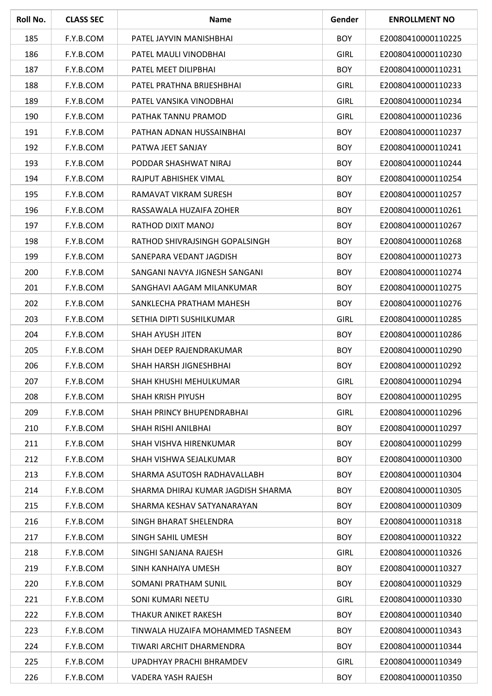| Roll No. | <b>CLASS SEC</b> | <b>Name</b>                        | Gender      | <b>ENROLLMENT NO</b> |
|----------|------------------|------------------------------------|-------------|----------------------|
| 185      | F.Y.B.COM        | PATEL JAYVIN MANISHBHAI            | <b>BOY</b>  | E20080410000110225   |
| 186      | F.Y.B.COM        | PATEL MAULI VINODBHAI              | <b>GIRL</b> | E20080410000110230   |
| 187      | F.Y.B.COM        | PATEL MEET DILIPBHAI               | <b>BOY</b>  | E20080410000110231   |
| 188      | F.Y.B.COM        | PATEL PRATHNA BRIJESHBHAI          | <b>GIRL</b> | E20080410000110233   |
| 189      | F.Y.B.COM        | PATEL VANSIKA VINODBHAI            | <b>GIRL</b> | E20080410000110234   |
| 190      | F.Y.B.COM        | PATHAK TANNU PRAMOD                | <b>GIRL</b> | E20080410000110236   |
| 191      | F.Y.B.COM        | PATHAN ADNAN HUSSAINBHAI           | <b>BOY</b>  | E20080410000110237   |
| 192      | F.Y.B.COM        | PATWA JEET SANJAY                  | <b>BOY</b>  | E20080410000110241   |
| 193      | F.Y.B.COM        | PODDAR SHASHWAT NIRAJ              | <b>BOY</b>  | E20080410000110244   |
| 194      | F.Y.B.COM        | RAJPUT ABHISHEK VIMAL              | <b>BOY</b>  | E20080410000110254   |
| 195      | F.Y.B.COM        | RAMAVAT VIKRAM SURESH              | <b>BOY</b>  | E20080410000110257   |
| 196      | F.Y.B.COM        | RASSAWALA HUZAIFA ZOHER            | <b>BOY</b>  | E20080410000110261   |
| 197      | F.Y.B.COM        | RATHOD DIXIT MANOJ                 | <b>BOY</b>  | E20080410000110267   |
| 198      | F.Y.B.COM        | RATHOD SHIVRAJSINGH GOPALSINGH     | <b>BOY</b>  | E20080410000110268   |
| 199      | F.Y.B.COM        | SANEPARA VEDANT JAGDISH            | <b>BOY</b>  | E20080410000110273   |
| 200      | F.Y.B.COM        | SANGANI NAVYA JIGNESH SANGANI      | <b>BOY</b>  | E20080410000110274   |
| 201      | F.Y.B.COM        | SANGHAVI AAGAM MILANKUMAR          | <b>BOY</b>  | E20080410000110275   |
| 202      | F.Y.B.COM        | SANKLECHA PRATHAM MAHESH           | <b>BOY</b>  | E20080410000110276   |
| 203      | F.Y.B.COM        | SETHIA DIPTI SUSHILKUMAR           | <b>GIRL</b> | E20080410000110285   |
| 204      | F.Y.B.COM        | SHAH AYUSH JITEN                   | <b>BOY</b>  | E20080410000110286   |
| 205      | F.Y.B.COM        | SHAH DEEP RAJENDRAKUMAR            | <b>BOY</b>  | E20080410000110290   |
| 206      | F.Y.B.COM        | SHAH HARSH JIGNESHBHAI             | <b>BOY</b>  | E20080410000110292   |
| 207      | F.Y.B.COM        | SHAH KHUSHI MEHULKUMAR             | <b>GIRL</b> | E20080410000110294   |
| 208      | F.Y.B.COM        | <b>SHAH KRISH PIYUSH</b>           | <b>BOY</b>  | E20080410000110295   |
| 209      | F.Y.B.COM        | SHAH PRINCY BHUPENDRABHAI          | <b>GIRL</b> | E20080410000110296   |
| 210      | F.Y.B.COM        | SHAH RISHI ANILBHAI                | <b>BOY</b>  | E20080410000110297   |
| 211      | F.Y.B.COM        | SHAH VISHVA HIRENKUMAR             | <b>BOY</b>  | E20080410000110299   |
| 212      | F.Y.B.COM        | SHAH VISHWA SEJALKUMAR             | <b>BOY</b>  | E20080410000110300   |
| 213      | F.Y.B.COM        | SHARMA ASUTOSH RADHAVALLABH        | <b>BOY</b>  | E20080410000110304   |
| 214      | F.Y.B.COM        | SHARMA DHIRAJ KUMAR JAGDISH SHARMA | <b>BOY</b>  | E20080410000110305   |
| 215      | F.Y.B.COM        | SHARMA KESHAV SATYANARAYAN         | <b>BOY</b>  | E20080410000110309   |
| 216      | F.Y.B.COM        | SINGH BHARAT SHELENDRA             | <b>BOY</b>  | E20080410000110318   |
| 217      | F.Y.B.COM        | SINGH SAHIL UMESH                  | <b>BOY</b>  | E20080410000110322   |
| 218      | F.Y.B.COM        | SINGHI SANJANA RAJESH              | <b>GIRL</b> | E20080410000110326   |
| 219      | F.Y.B.COM        | SINH KANHAIYA UMESH                | <b>BOY</b>  | E20080410000110327   |
| 220      | F.Y.B.COM        | SOMANI PRATHAM SUNIL               | <b>BOY</b>  | E20080410000110329   |
| 221      | F.Y.B.COM        | SONI KUMARI NEETU                  | <b>GIRL</b> | E20080410000110330   |
| 222      | F.Y.B.COM        | THAKUR ANIKET RAKESH               | <b>BOY</b>  | E20080410000110340   |
| 223      | F.Y.B.COM        | TINWALA HUZAIFA MOHAMMED TASNEEM   | <b>BOY</b>  | E20080410000110343   |
| 224      | F.Y.B.COM        | TIWARI ARCHIT DHARMENDRA           | <b>BOY</b>  | E20080410000110344   |
| 225      | F.Y.B.COM        | UPADHYAY PRACHI BHRAMDEV           | <b>GIRL</b> | E20080410000110349   |
| 226      | F.Y.B.COM        | VADERA YASH RAJESH                 | <b>BOY</b>  | E20080410000110350   |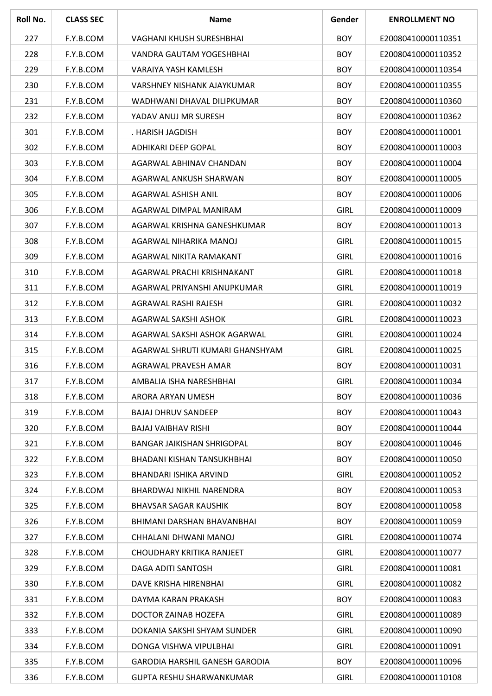| Roll No. | <b>CLASS SEC</b> | <b>Name</b>                       | Gender      | <b>ENROLLMENT NO</b> |
|----------|------------------|-----------------------------------|-------------|----------------------|
| 227      | F.Y.B.COM        | VAGHANI KHUSH SURESHBHAI          | <b>BOY</b>  | E20080410000110351   |
| 228      | F.Y.B.COM        | VANDRA GAUTAM YOGESHBHAI          | <b>BOY</b>  | E20080410000110352   |
| 229      | F.Y.B.COM        | VARAIYA YASH KAMLESH              | <b>BOY</b>  | E20080410000110354   |
| 230      | F.Y.B.COM        | VARSHNEY NISHANK AJAYKUMAR        | <b>BOY</b>  | E20080410000110355   |
| 231      | F.Y.B.COM        | WADHWANI DHAVAL DILIPKUMAR        | <b>BOY</b>  | E20080410000110360   |
| 232      | F.Y.B.COM        | YADAV ANUJ MR SURESH              | <b>BOY</b>  | E20080410000110362   |
| 301      | F.Y.B.COM        | . HARISH JAGDISH                  | <b>BOY</b>  | E20080410000110001   |
| 302      | F.Y.B.COM        | ADHIKARI DEEP GOPAL               | <b>BOY</b>  | E20080410000110003   |
| 303      | F.Y.B.COM        | AGARWAL ABHINAV CHANDAN           | <b>BOY</b>  | E20080410000110004   |
| 304      | F.Y.B.COM        | AGARWAL ANKUSH SHARWAN            | <b>BOY</b>  | E20080410000110005   |
| 305      | F.Y.B.COM        | AGARWAL ASHISH ANIL               | <b>BOY</b>  | E20080410000110006   |
| 306      | F.Y.B.COM        | AGARWAL DIMPAL MANIRAM            | <b>GIRL</b> | E20080410000110009   |
| 307      | F.Y.B.COM        | AGARWAL KRISHNA GANESHKUMAR       | <b>BOY</b>  | E20080410000110013   |
| 308      | F.Y.B.COM        | AGARWAL NIHARIKA MANOJ            | <b>GIRL</b> | E20080410000110015   |
| 309      | F.Y.B.COM        | AGARWAL NIKITA RAMAKANT           | <b>GIRL</b> | E20080410000110016   |
| 310      | F.Y.B.COM        | AGARWAL PRACHI KRISHNAKANT        | <b>GIRL</b> | E20080410000110018   |
| 311      | F.Y.B.COM        | AGARWAL PRIYANSHI ANUPKUMAR       | <b>GIRL</b> | E20080410000110019   |
| 312      | F.Y.B.COM        | AGRAWAL RASHI RAJESH              | <b>GIRL</b> | E20080410000110032   |
| 313      | F.Y.B.COM        | AGARWAL SAKSHI ASHOK              | <b>GIRL</b> | E20080410000110023   |
| 314      | F.Y.B.COM        | AGARWAL SAKSHI ASHOK AGARWAL      | <b>GIRL</b> | E20080410000110024   |
| 315      | F.Y.B.COM        | AGARWAL SHRUTI KUMARI GHANSHYAM   | <b>GIRL</b> | E20080410000110025   |
| 316      | F.Y.B.COM        | AGRAWAL PRAVESH AMAR              | <b>BOY</b>  | E20080410000110031   |
| 317      | F.Y.B.COM        | AMBALIA ISHA NARESHBHAI           | <b>GIRL</b> | E20080410000110034   |
| 318      | F.Y.B.COM        | ARORA ARYAN UMESH                 | <b>BOY</b>  | E20080410000110036   |
| 319      | F.Y.B.COM        | <b>BAJAJ DHRUV SANDEEP</b>        | <b>BOY</b>  | E20080410000110043   |
| 320      | F.Y.B.COM        | <b>BAJAJ VAIBHAV RISHI</b>        | <b>BOY</b>  | E20080410000110044   |
| 321      | F.Y.B.COM        | <b>BANGAR JAIKISHAN SHRIGOPAL</b> | <b>BOY</b>  | E20080410000110046   |
| 322      | F.Y.B.COM        | BHADANI KISHAN TANSUKHBHAI        | <b>BOY</b>  | E20080410000110050   |
| 323      | F.Y.B.COM        | BHANDARI ISHIKA ARVIND            | <b>GIRL</b> | E20080410000110052   |
| 324      | F.Y.B.COM        | BHARDWAJ NIKHIL NARENDRA          | <b>BOY</b>  | E20080410000110053   |
| 325      | F.Y.B.COM        | <b>BHAVSAR SAGAR KAUSHIK</b>      | <b>BOY</b>  | E20080410000110058   |
| 326      | F.Y.B.COM        | BHIMANI DARSHAN BHAVANBHAI        | <b>BOY</b>  | E20080410000110059   |
| 327      | F.Y.B.COM        | CHHALANI DHWANI MANOJ             | <b>GIRL</b> | E20080410000110074   |
| 328      | F.Y.B.COM        | CHOUDHARY KRITIKA RANJEET         | <b>GIRL</b> | E20080410000110077   |
| 329      | F.Y.B.COM        | DAGA ADITI SANTOSH                | <b>GIRL</b> | E20080410000110081   |
| 330      | F.Y.B.COM        | DAVE KRISHA HIRENBHAI             | <b>GIRL</b> | E20080410000110082   |
| 331      | F.Y.B.COM        | DAYMA KARAN PRAKASH               | <b>BOY</b>  | E20080410000110083   |
| 332      | F.Y.B.COM        | DOCTOR ZAINAB HOZEFA              | <b>GIRL</b> | E20080410000110089   |
| 333      | F.Y.B.COM        | DOKANIA SAKSHI SHYAM SUNDER       | <b>GIRL</b> | E20080410000110090   |
| 334      | F.Y.B.COM        | DONGA VISHWA VIPULBHAI            | <b>GIRL</b> | E20080410000110091   |
| 335      | F.Y.B.COM        | GARODIA HARSHIL GANESH GARODIA    | <b>BOY</b>  | E20080410000110096   |
| 336      | F.Y.B.COM        | <b>GUPTA RESHU SHARWANKUMAR</b>   | <b>GIRL</b> | E20080410000110108   |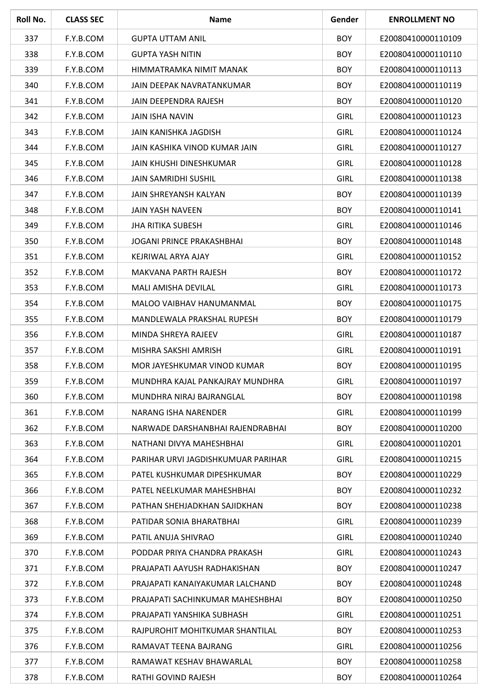| Roll No. | <b>CLASS SEC</b> | <b>Name</b>                        | Gender      | <b>ENROLLMENT NO</b> |
|----------|------------------|------------------------------------|-------------|----------------------|
| 337      | F.Y.B.COM        | <b>GUPTA UTTAM ANIL</b>            | <b>BOY</b>  | E20080410000110109   |
| 338      | F.Y.B.COM        | <b>GUPTA YASH NITIN</b>            | <b>BOY</b>  | E20080410000110110   |
| 339      | F.Y.B.COM        | HIMMATRAMKA NIMIT MANAK            | <b>BOY</b>  | E20080410000110113   |
| 340      | F.Y.B.COM        | JAIN DEEPAK NAVRATANKUMAR          | <b>BOY</b>  | E20080410000110119   |
| 341      | F.Y.B.COM        | <b>JAIN DEEPENDRA RAJESH</b>       | <b>BOY</b>  | E20080410000110120   |
| 342      | F.Y.B.COM        | <b>JAIN ISHA NAVIN</b>             | <b>GIRL</b> | E20080410000110123   |
| 343      | F.Y.B.COM        | JAIN KANISHKA JAGDISH              | <b>GIRL</b> | E20080410000110124   |
| 344      | F.Y.B.COM        | JAIN KASHIKA VINOD KUMAR JAIN      | <b>GIRL</b> | E20080410000110127   |
| 345      | F.Y.B.COM        | JAIN KHUSHI DINESHKUMAR            | <b>GIRL</b> | E20080410000110128   |
| 346      | F.Y.B.COM        | <b>JAIN SAMRIDHI SUSHIL</b>        | <b>GIRL</b> | E20080410000110138   |
| 347      | F.Y.B.COM        | JAIN SHREYANSH KALYAN              | <b>BOY</b>  | E20080410000110139   |
| 348      | F.Y.B.COM        | <b>JAIN YASH NAVEEN</b>            | <b>BOY</b>  | E20080410000110141   |
| 349      | F.Y.B.COM        | <b>JHA RITIKA SUBESH</b>           | <b>GIRL</b> | E20080410000110146   |
| 350      | F.Y.B.COM        | JOGANI PRINCE PRAKASHBHAI          | <b>BOY</b>  | E20080410000110148   |
| 351      | F.Y.B.COM        | KEJRIWAL ARYA AJAY                 | <b>GIRL</b> | E20080410000110152   |
| 352      | F.Y.B.COM        | MAKVANA PARTH RAJESH               | <b>BOY</b>  | E20080410000110172   |
| 353      | F.Y.B.COM        | MALI AMISHA DEVILAL                | <b>GIRL</b> | E20080410000110173   |
| 354      | F.Y.B.COM        | MALOO VAIBHAV HANUMANMAL           | <b>BOY</b>  | E20080410000110175   |
| 355      | F.Y.B.COM        | MANDLEWALA PRAKSHAL RUPESH         | <b>BOY</b>  | E20080410000110179   |
| 356      | F.Y.B.COM        | MINDA SHREYA RAJEEV                | <b>GIRL</b> | E20080410000110187   |
| 357      | F.Y.B.COM        | MISHRA SAKSHI AMRISH               | <b>GIRL</b> | E20080410000110191   |
| 358      | F.Y.B.COM        | MOR JAYESHKUMAR VINOD KUMAR        | <b>BOY</b>  | E20080410000110195   |
| 359      | F.Y.B.COM        | MUNDHRA KAJAL PANKAJRAY MUNDHRA    | <b>GIRL</b> | E20080410000110197   |
| 360      | F.Y.B.COM        | MUNDHRA NIRAJ BAJRANGLAL           | <b>BOY</b>  | E20080410000110198   |
| 361      | F.Y.B.COM        | NARANG ISHA NARENDER               | <b>GIRL</b> | E20080410000110199   |
| 362      | F.Y.B.COM        | NARWADE DARSHANBHAI RAJENDRABHAI   | <b>BOY</b>  | E20080410000110200   |
| 363      | F.Y.B.COM        | NATHANI DIVYA MAHESHBHAI           | <b>GIRL</b> | E20080410000110201   |
| 364      | F.Y.B.COM        | PARIHAR URVI JAGDISHKUMUAR PARIHAR | <b>GIRL</b> | E20080410000110215   |
| 365      | F.Y.B.COM        | PATEL KUSHKUMAR DIPESHKUMAR        | <b>BOY</b>  | E20080410000110229   |
| 366      | F.Y.B.COM        | PATEL NEELKUMAR MAHESHBHAI         | <b>BOY</b>  | E20080410000110232   |
| 367      | F.Y.B.COM        | PATHAN SHEHJADKHAN SAJIDKHAN       | <b>BOY</b>  | E20080410000110238   |
| 368      | F.Y.B.COM        | PATIDAR SONIA BHARATBHAI           | <b>GIRL</b> | E20080410000110239   |
| 369      | F.Y.B.COM        | PATIL ANUJA SHIVRAO                | <b>GIRL</b> | E20080410000110240   |
| 370      | F.Y.B.COM        | PODDAR PRIYA CHANDRA PRAKASH       | <b>GIRL</b> | E20080410000110243   |
| 371      | F.Y.B.COM        | PRAJAPATI AAYUSH RADHAKISHAN       | <b>BOY</b>  | E20080410000110247   |
| 372      | F.Y.B.COM        | PRAJAPATI KANAIYAKUMAR LALCHAND    | <b>BOY</b>  | E20080410000110248   |
| 373      | F.Y.B.COM        | PRAJAPATI SACHINKUMAR MAHESHBHAI   | <b>BOY</b>  | E20080410000110250   |
| 374      | F.Y.B.COM        | PRAJAPATI YANSHIKA SUBHASH         | <b>GIRL</b> | E20080410000110251   |
| 375      | F.Y.B.COM        | RAJPUROHIT MOHITKUMAR SHANTILAL    | <b>BOY</b>  | E20080410000110253   |
| 376      | F.Y.B.COM        | RAMAVAT TEENA BAJRANG              | <b>GIRL</b> | E20080410000110256   |
| 377      | F.Y.B.COM        | RAMAWAT KESHAV BHAWARLAL           | <b>BOY</b>  | E20080410000110258   |
| 378      | F.Y.B.COM        | RATHI GOVIND RAJESH                | <b>BOY</b>  | E20080410000110264   |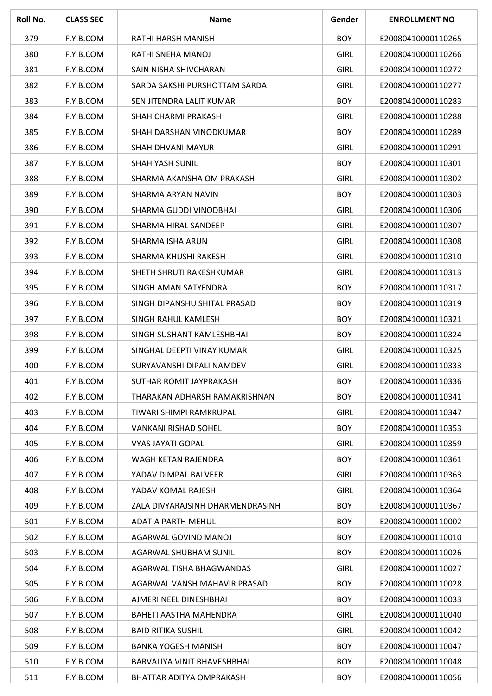| Roll No. | <b>CLASS SEC</b> | <b>Name</b>                      | Gender      | <b>ENROLLMENT NO</b> |
|----------|------------------|----------------------------------|-------------|----------------------|
| 379      | F.Y.B.COM        | RATHI HARSH MANISH               | <b>BOY</b>  | E20080410000110265   |
| 380      | F.Y.B.COM        | RATHI SNEHA MANOJ                | <b>GIRL</b> | E20080410000110266   |
| 381      | F.Y.B.COM        | SAIN NISHA SHIVCHARAN            | <b>GIRL</b> | E20080410000110272   |
| 382      | F.Y.B.COM        | SARDA SAKSHI PURSHOTTAM SARDA    | <b>GIRL</b> | E20080410000110277   |
| 383      | F.Y.B.COM        | SEN JITENDRA LALIT KUMAR         | <b>BOY</b>  | E20080410000110283   |
| 384      | F.Y.B.COM        | SHAH CHARMI PRAKASH              | <b>GIRL</b> | E20080410000110288   |
| 385      | F.Y.B.COM        | SHAH DARSHAN VINODKUMAR          | <b>BOY</b>  | E20080410000110289   |
| 386      | F.Y.B.COM        | SHAH DHVANI MAYUR                | <b>GIRL</b> | E20080410000110291   |
| 387      | F.Y.B.COM        | <b>SHAH YASH SUNIL</b>           | <b>BOY</b>  | E20080410000110301   |
| 388      | F.Y.B.COM        | SHARMA AKANSHA OM PRAKASH        | <b>GIRL</b> | E20080410000110302   |
| 389      | F.Y.B.COM        | SHARMA ARYAN NAVIN               | <b>BOY</b>  | E20080410000110303   |
| 390      | F.Y.B.COM        | SHARMA GUDDI VINODBHAI           | <b>GIRL</b> | E20080410000110306   |
| 391      | F.Y.B.COM        | SHARMA HIRAL SANDEEP             | <b>GIRL</b> | E20080410000110307   |
| 392      | F.Y.B.COM        | <b>SHARMA ISHA ARUN</b>          | <b>GIRL</b> | E20080410000110308   |
| 393      | F.Y.B.COM        | SHARMA KHUSHI RAKESH             | <b>GIRL</b> | E20080410000110310   |
| 394      | F.Y.B.COM        | SHETH SHRUTI RAKESHKUMAR         | <b>GIRL</b> | E20080410000110313   |
| 395      | F.Y.B.COM        | SINGH AMAN SATYENDRA             | <b>BOY</b>  | E20080410000110317   |
| 396      | F.Y.B.COM        | SINGH DIPANSHU SHITAL PRASAD     | <b>BOY</b>  | E20080410000110319   |
| 397      | F.Y.B.COM        | SINGH RAHUL KAMLESH              | <b>BOY</b>  | E20080410000110321   |
| 398      | F.Y.B.COM        | SINGH SUSHANT KAMLESHBHAI        | <b>BOY</b>  | E20080410000110324   |
| 399      | F.Y.B.COM        | SINGHAL DEEPTI VINAY KUMAR       | <b>GIRL</b> | E20080410000110325   |
| 400      | F.Y.B.COM        | SURYAVANSHI DIPALI NAMDEV        | <b>GIRL</b> | E20080410000110333   |
| 401      | F.Y.B.COM        | SUTHAR ROMIT JAYPRAKASH          | <b>BOY</b>  | E20080410000110336   |
| 402      | F.Y.B.COM        | THARAKAN ADHARSH RAMAKRISHNAN    | <b>BOY</b>  | E20080410000110341   |
| 403      | F.Y.B.COM        | TIWARI SHIMPI RAMKRUPAL          | <b>GIRL</b> | E20080410000110347   |
| 404      | F.Y.B.COM        | <b>VANKANI RISHAD SOHEL</b>      | <b>BOY</b>  | E20080410000110353   |
| 405      | F.Y.B.COM        | <b>VYAS JAYATI GOPAL</b>         | <b>GIRL</b> | E20080410000110359   |
| 406      | F.Y.B.COM        | WAGH KETAN RAJENDRA              | <b>BOY</b>  | E20080410000110361   |
| 407      | F.Y.B.COM        | YADAV DIMPAL BALVEER             | <b>GIRL</b> | E20080410000110363   |
| 408      | F.Y.B.COM        | YADAV KOMAL RAJESH               | <b>GIRL</b> | E20080410000110364   |
| 409      | F.Y.B.COM        | ZALA DIVYARAJSINH DHARMENDRASINH | <b>BOY</b>  | E20080410000110367   |
| 501      | F.Y.B.COM        | <b>ADATIA PARTH MEHUL</b>        | <b>BOY</b>  | E20080410000110002   |
| 502      | F.Y.B.COM        | AGARWAL GOVIND MANOJ             | <b>BOY</b>  | E20080410000110010   |
| 503      | F.Y.B.COM        | AGARWAL SHUBHAM SUNIL            | <b>BOY</b>  | E20080410000110026   |
| 504      | F.Y.B.COM        | AGARWAL TISHA BHAGWANDAS         | <b>GIRL</b> | E20080410000110027   |
| 505      | F.Y.B.COM        | AGARWAL VANSH MAHAVIR PRASAD     | <b>BOY</b>  | E20080410000110028   |
| 506      | F.Y.B.COM        | AJMERI NEEL DINESHBHAI           | <b>BOY</b>  | E20080410000110033   |
| 507      | F.Y.B.COM        | BAHETI AASTHA MAHENDRA           | <b>GIRL</b> | E20080410000110040   |
| 508      | F.Y.B.COM        | <b>BAID RITIKA SUSHIL</b>        | <b>GIRL</b> | E20080410000110042   |
| 509      | F.Y.B.COM        | <b>BANKA YOGESH MANISH</b>       | <b>BOY</b>  | E20080410000110047   |
| 510      | F.Y.B.COM        | BARVALIYA VINIT BHAVESHBHAI      | <b>BOY</b>  | E20080410000110048   |
| 511      | F.Y.B.COM        | BHATTAR ADITYA OMPRAKASH         | <b>BOY</b>  | E20080410000110056   |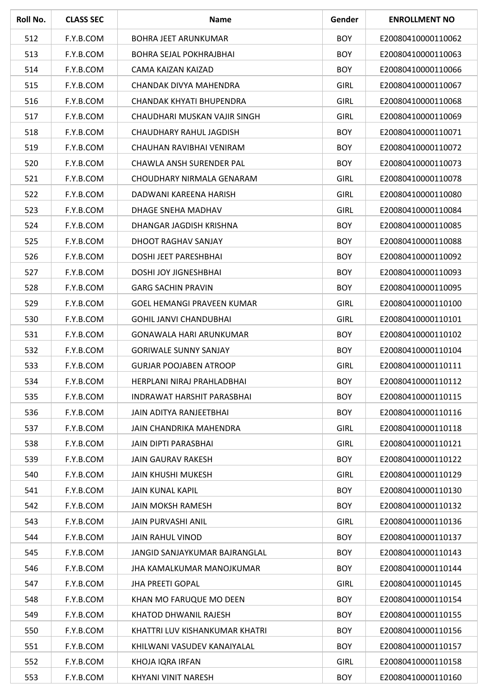| Roll No. | <b>CLASS SEC</b> | <b>Name</b>                       | Gender      | <b>ENROLLMENT NO</b> |
|----------|------------------|-----------------------------------|-------------|----------------------|
| 512      | F.Y.B.COM        | <b>BOHRA JEET ARUNKUMAR</b>       | <b>BOY</b>  | E20080410000110062   |
| 513      | F.Y.B.COM        | <b>BOHRA SEJAL POKHRAJBHAI</b>    | <b>BOY</b>  | E20080410000110063   |
| 514      | F.Y.B.COM        | CAMA KAIZAN KAIZAD                | <b>BOY</b>  | E20080410000110066   |
| 515      | F.Y.B.COM        | CHANDAK DIVYA MAHENDRA            | <b>GIRL</b> | E20080410000110067   |
| 516      | F.Y.B.COM        | CHANDAK KHYATI BHUPENDRA          | <b>GIRL</b> | E20080410000110068   |
| 517      | F.Y.B.COM        | CHAUDHARI MUSKAN VAJIR SINGH      | <b>GIRL</b> | E20080410000110069   |
| 518      | F.Y.B.COM        | CHAUDHARY RAHUL JAGDISH           | <b>BOY</b>  | E20080410000110071   |
| 519      | F.Y.B.COM        | CHAUHAN RAVIBHAI VENIRAM          | <b>BOY</b>  | E20080410000110072   |
| 520      | F.Y.B.COM        | CHAWLA ANSH SURENDER PAL          | <b>BOY</b>  | E20080410000110073   |
| 521      | F.Y.B.COM        | CHOUDHARY NIRMALA GENARAM         | <b>GIRL</b> | E20080410000110078   |
| 522      | F.Y.B.COM        | DADWANI KAREENA HARISH            | <b>GIRL</b> | E20080410000110080   |
| 523      | F.Y.B.COM        | DHAGE SNEHA MADHAV                | <b>GIRL</b> | E20080410000110084   |
| 524      | F.Y.B.COM        | DHANGAR JAGDISH KRISHNA           | <b>BOY</b>  | E20080410000110085   |
| 525      | F.Y.B.COM        | DHOOT RAGHAV SANJAY               | <b>BOY</b>  | E20080410000110088   |
| 526      | F.Y.B.COM        | DOSHI JEET PARESHBHAI             | <b>BOY</b>  | E20080410000110092   |
| 527      | F.Y.B.COM        | <b>DOSHI JOY JIGNESHBHAI</b>      | <b>BOY</b>  | E20080410000110093   |
| 528      | F.Y.B.COM        | <b>GARG SACHIN PRAVIN</b>         | <b>BOY</b>  | E20080410000110095   |
| 529      | F.Y.B.COM        | <b>GOEL HEMANGI PRAVEEN KUMAR</b> | <b>GIRL</b> | E20080410000110100   |
| 530      | F.Y.B.COM        | <b>GOHIL JANVI CHANDUBHAI</b>     | <b>GIRL</b> | E20080410000110101   |
| 531      | F.Y.B.COM        | GONAWALA HARI ARUNKUMAR           | <b>BOY</b>  | E20080410000110102   |
| 532      | F.Y.B.COM        | <b>GORIWALE SUNNY SANJAY</b>      | <b>BOY</b>  | E20080410000110104   |
| 533      | F.Y.B.COM        | <b>GURJAR POOJABEN ATROOP</b>     | <b>GIRL</b> | E20080410000110111   |
| 534      | F.Y.B.COM        | HERPLANI NIRAJ PRAHLADBHAI        | <b>BOY</b>  | E20080410000110112   |
| 535      | F.Y.B.COM        | INDRAWAT HARSHIT PARASBHAI        | <b>BOY</b>  | E20080410000110115   |
| 536      | F.Y.B.COM        | JAIN ADITYA RANJEETBHAI           | <b>BOY</b>  | E20080410000110116   |
| 537      | F.Y.B.COM        | JAIN CHANDRIKA MAHENDRA           | <b>GIRL</b> | E20080410000110118   |
| 538      | F.Y.B.COM        | JAIN DIPTI PARASBHAI              | <b>GIRL</b> | E20080410000110121   |
| 539      | F.Y.B.COM        | <b>JAIN GAURAV RAKESH</b>         | <b>BOY</b>  | E20080410000110122   |
| 540      | F.Y.B.COM        | <b>JAIN KHUSHI MUKESH</b>         | <b>GIRL</b> | E20080410000110129   |
| 541      | F.Y.B.COM        | <b>JAIN KUNAL KAPIL</b>           | <b>BOY</b>  | E20080410000110130   |
| 542      | F.Y.B.COM        | <b>JAIN MOKSH RAMESH</b>          | <b>BOY</b>  | E20080410000110132   |
| 543      | F.Y.B.COM        | <b>JAIN PURVASHI ANIL</b>         | <b>GIRL</b> | E20080410000110136   |
| 544      | F.Y.B.COM        | <b>JAIN RAHUL VINOD</b>           | <b>BOY</b>  | E20080410000110137   |
| 545      | F.Y.B.COM        | JANGID SANJAYKUMAR BAJRANGLAL     | <b>BOY</b>  | E20080410000110143   |
| 546      | F.Y.B.COM        | JHA KAMALKUMAR MANOJKUMAR         | <b>BOY</b>  | E20080410000110144   |
| 547      | F.Y.B.COM        | <b>JHA PREETI GOPAL</b>           | <b>GIRL</b> | E20080410000110145   |
| 548      | F.Y.B.COM        | KHAN MO FARUQUE MO DEEN           | <b>BOY</b>  | E20080410000110154   |
| 549      | F.Y.B.COM        | KHATOD DHWANIL RAJESH             | <b>BOY</b>  | E20080410000110155   |
| 550      | F.Y.B.COM        | KHATTRI LUV KISHANKUMAR KHATRI    | <b>BOY</b>  | E20080410000110156   |
| 551      | F.Y.B.COM        | KHILWANI VASUDEV KANAIYALAL       | <b>BOY</b>  | E20080410000110157   |
| 552      | F.Y.B.COM        | KHOJA IQRA IRFAN                  | <b>GIRL</b> | E20080410000110158   |
| 553      | F.Y.B.COM        | KHYANI VINIT NARESH               | <b>BOY</b>  | E20080410000110160   |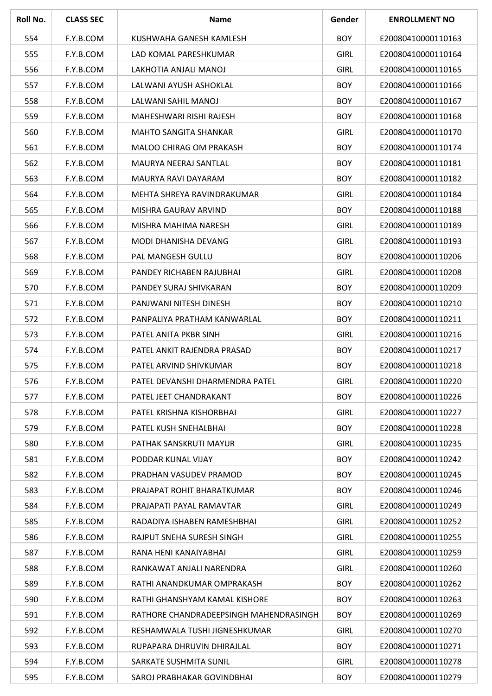| Roll No. | <b>CLASS SEC</b> | <b>Name</b>                            | Gender      | <b>ENROLLMENT NO</b> |
|----------|------------------|----------------------------------------|-------------|----------------------|
| 554      | F.Y.B.COM        | KUSHWAHA GANESH KAMLESH                | <b>BOY</b>  | E20080410000110163   |
| 555      | F.Y.B.COM        | LAD KOMAL PARESHKUMAR                  | <b>GIRL</b> | E20080410000110164   |
| 556      | F.Y.B.COM        | LAKHOTIA ANJALI MANOJ                  | <b>GIRL</b> | E20080410000110165   |
| 557      | F.Y.B.COM        | LALWANI AYUSH ASHOKLAL                 | <b>BOY</b>  | E20080410000110166   |
| 558      | F.Y.B.COM        | LALWANI SAHIL MANOJ                    | <b>BOY</b>  | E20080410000110167   |
| 559      | F.Y.B.COM        | MAHESHWARI RISHI RAJESH                | <b>BOY</b>  | E20080410000110168   |
| 560      | F.Y.B.COM        | <b>MAHTO SANGITA SHANKAR</b>           | <b>GIRL</b> | E20080410000110170   |
| 561      | F.Y.B.COM        | MALOO CHIRAG OM PRAKASH                | <b>BOY</b>  | E20080410000110174   |
| 562      | F.Y.B.COM        | MAURYA NEERAJ SANTLAL                  | <b>BOY</b>  | E20080410000110181   |
| 563      | F.Y.B.COM        | MAURYA RAVI DAYARAM                    | <b>BOY</b>  | E20080410000110182   |
| 564      | F.Y.B.COM        | MEHTA SHREYA RAVINDRAKUMAR             | <b>GIRL</b> | E20080410000110184   |
| 565      | F.Y.B.COM        | MISHRA GAURAV ARVIND                   | <b>BOY</b>  | E20080410000110188   |
| 566      | F.Y.B.COM        | MISHRA MAHIMA NARESH                   | <b>GIRL</b> | E20080410000110189   |
| 567      | F.Y.B.COM        | <b>MODI DHANISHA DEVANG</b>            | <b>GIRL</b> | E20080410000110193   |
| 568      | F.Y.B.COM        | PAL MANGESH GULLU                      | <b>BOY</b>  | E20080410000110206   |
| 569      | F.Y.B.COM        | PANDEY RICHABEN RAJUBHAI               | <b>GIRL</b> | E20080410000110208   |
| 570      | F.Y.B.COM        | PANDEY SURAJ SHIVKARAN                 | <b>BOY</b>  | E20080410000110209   |
| 571      | F.Y.B.COM        | PANJWANI NITESH DINESH                 | <b>BOY</b>  | E20080410000110210   |
| 572      | F.Y.B.COM        | PANPALIYA PRATHAM KANWARLAL            | <b>BOY</b>  | E20080410000110211   |
| 573      | F.Y.B.COM        | PATEL ANITA PKBR SINH                  | <b>GIRL</b> | E20080410000110216   |
| 574      | F.Y.B.COM        | PATEL ANKIT RAJENDRA PRASAD            | <b>BOY</b>  | E20080410000110217   |
| 575      | F.Y.B.COM        | PATEL ARVIND SHIVKUMAR                 | <b>BOY</b>  | E20080410000110218   |
| 576      | F.Y.B.COM        | PATEL DEVANSHI DHARMENDRA PATEL        | <b>GIRL</b> | E20080410000110220   |
| 577      | F.Y.B.COM        | PATEL JEET CHANDRAKANT                 | <b>BOY</b>  | E20080410000110226   |
| 578      | F.Y.B.COM        | PATEL KRISHNA KISHORBHAI               | <b>GIRL</b> | E20080410000110227   |
| 579      | F.Y.B.COM        | PATEL KUSH SNEHALBHAI                  | <b>BOY</b>  | E20080410000110228   |
| 580      | F.Y.B.COM        | PATHAK SANSKRUTI MAYUR                 | <b>GIRL</b> | E20080410000110235   |
| 581      | F.Y.B.COM        | PODDAR KUNAL VIJAY                     | <b>BOY</b>  | E20080410000110242   |
| 582      | F.Y.B.COM        | PRADHAN VASUDEV PRAMOD                 | <b>BOY</b>  | E20080410000110245   |
| 583      | F.Y.B.COM        | PRAJAPAT ROHIT BHARATKUMAR             | <b>BOY</b>  | E20080410000110246   |
| 584      | F.Y.B.COM        | PRAJAPATI PAYAL RAMAVTAR               | <b>GIRL</b> | E20080410000110249   |
| 585      | F.Y.B.COM        | RADADIYA ISHABEN RAMESHBHAI            | <b>GIRL</b> | E20080410000110252   |
| 586      | F.Y.B.COM        | RAJPUT SNEHA SURESH SINGH              | <b>GIRL</b> | E20080410000110255   |
| 587      | F.Y.B.COM        | RANA HENI KANAIYABHAI                  | <b>GIRL</b> | E20080410000110259   |
| 588      | F.Y.B.COM        | RANKAWAT ANJALI NARENDRA               | <b>GIRL</b> | E20080410000110260   |
| 589      | F.Y.B.COM        | RATHI ANANDKUMAR OMPRAKASH             | <b>BOY</b>  | E20080410000110262   |
| 590      | F.Y.B.COM        | RATHI GHANSHYAM KAMAL KISHORE          | <b>BOY</b>  | E20080410000110263   |
| 591      | F.Y.B.COM        | RATHORE CHANDRADEEPSINGH MAHENDRASINGH | <b>BOY</b>  | E20080410000110269   |
| 592      | F.Y.B.COM        | RESHAMWALA TUSHI JIGNESHKUMAR          | <b>GIRL</b> | E20080410000110270   |
| 593      | F.Y.B.COM        | RUPAPARA DHRUVIN DHIRAJLAL             | <b>BOY</b>  | E20080410000110271   |
| 594      | F.Y.B.COM        | SARKATE SUSHMITA SUNIL                 | <b>GIRL</b> | E20080410000110278   |
| 595      | F.Y.B.COM        | SAROJ PRABHAKAR GOVINDBHAI             | <b>BOY</b>  | E20080410000110279   |